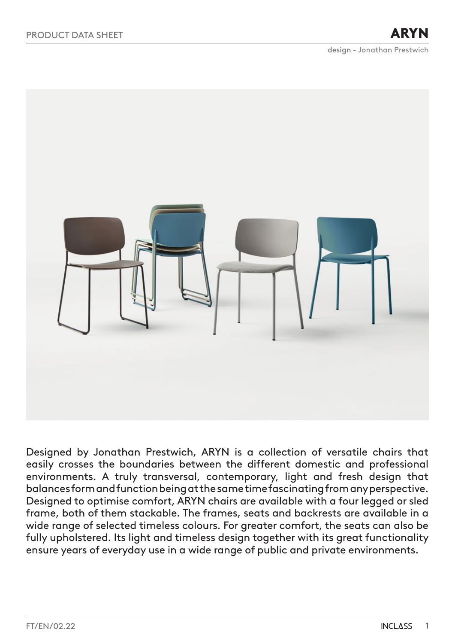ARYN



Designed by Jonathan Prestwich, ARYN is a collection of versatile chairs that easily crosses the boundaries between the different domestic and professional environments. A truly transversal, contemporary, light and fresh design that balances form and function being at the same time fascinating from any perspective. Designed to optimise comfort, ARYN chairs are available with a four legged or sled frame, both of them stackable. The frames, seats and backrests are available in a wide range of selected timeless colours. For greater comfort, the seats can also be fully upholstered. Its light and timeless design together with its great functionality ensure years of everyday use in a wide range of public and private environments.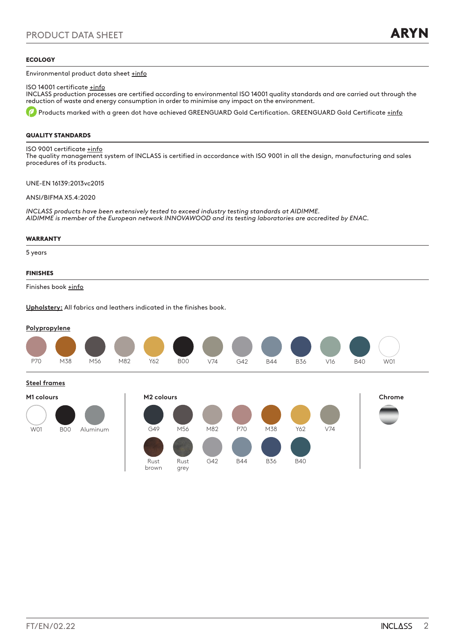### ECOLOGY

Environmental product data sheet [+info](https://inclass.es/wp-content/files_mf/1596110322FM_ARYN_ENG.pdf)

ISO 14001 certificate [+info](https://inclass.es/wp-content/files_mf/1628001323ISO14001INCLASSDESIGNWORKSSL_ENG.pdf)

INCLASS production processes are certified according to environmental ISO 14001 quality standards and are carried out through the reduction of waste and energy consumption in order to minimise any impact on the environment.

Products marked with a green dot have achieved GREENGUARD Gold Certification. GREENGUARD Gold Certificate [+info](https://inclass.es/wp-content/files_mf/1623328888ARYN_GREENGUARDGoldCertification_ENG.pdf)

### QUALITY STANDARDS

ISO 9001 certificate [+info](https://inclass.es/wp-content/files_mf/1628001394ISO9001INCLASSDESIGNWORKSSL_ENG.pdf) The quality management system of INCLASS is certified in accordance with ISO 9001 in all the design, manufacturing and sales procedures of its products.

UNE-EN 16139:2013vc2015

ANSI/BIFMA X5.4:2020

*INCLASS products have been extensively tested to exceed industry testing standards at AIDIMME. AIDIMME is member of the European network INNOVAWOOD and its testing laboratories are accredited by ENAC.*

### WARRANTY

5 years

### FINISHES

Finishes book [+info](https://inclass.es/wp-content/files_mf/1580128105ARYNSwatchBook.pdf)

**Upholstery:** All fabrics and leathers indicated in the finishes book.

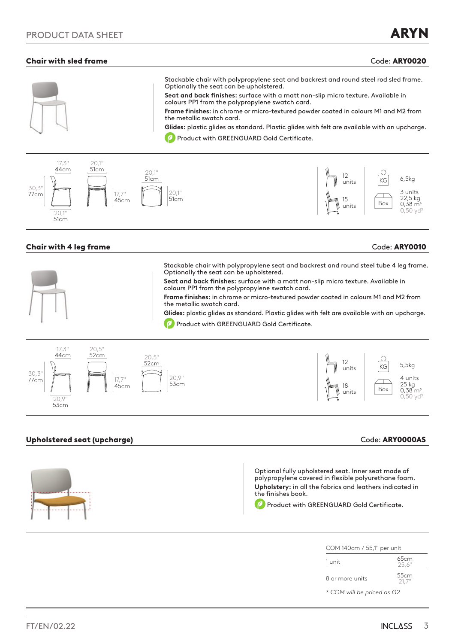# **Chair with sled frame Code: ARY0020**





# **Chair with 4 leg frame** Code: ARY0010

| Stackable chair with polypropylene seat and backrest and round steel tube 4 leg frame.<br>Optionally the seat can be upholstered.   |
|-------------------------------------------------------------------------------------------------------------------------------------|
| Seat and back finishes: surface with a matt non-slip micro texture. Available in<br>colours PP1 from the polypropylene swatch card. |
| Frame finishes: in chrome or micro-textured powder coated in colours M1 and M2 from<br>the metallic swatch card.                    |
| Glides: plastic glides as standard. Plastic glides with felt are available with an upcharge.                                        |
| Product with GREENGUARD Gold Certificate.                                                                                           |
|                                                                                                                                     |



# Upholstered seat (upcharge) and the control of the code: ARY0000AS code: ARY0000AS



| COM 140cm / 55,1" per unit |                |  |
|----------------------------|----------------|--|
| 1 unit                     | 65cm<br>25.6"  |  |
| 8 or more units            | 55cm<br>-21.7" |  |

*\* COM will be priced as G2*